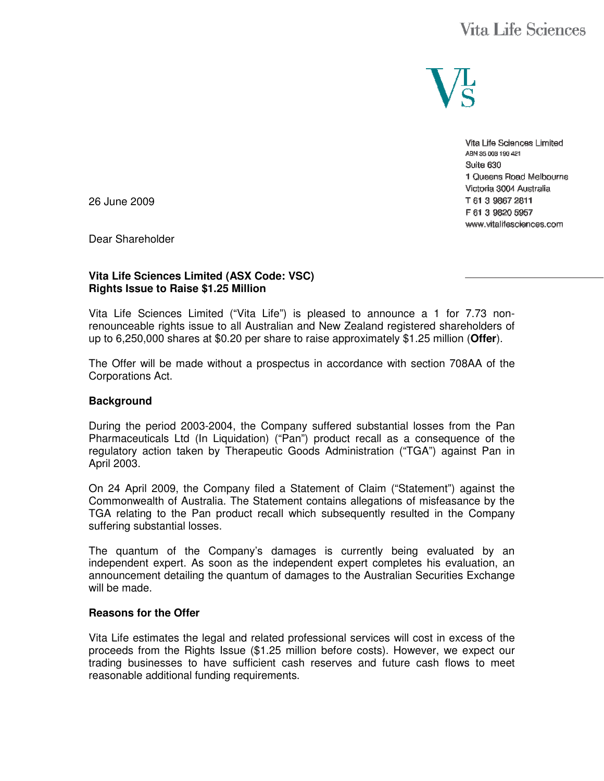# Vita Life Sciences



Vita Life Sciences Limited ABN 35 003 190 421 Suite 630 1 Queens Road Melbourne Victoria 3004 Australia T 61 3 9867 2811 F 61 3 9820 5957 www.vitalifesciences.com

26 June 2009

Dear Shareholder

#### **Vita Life Sciences Limited (ASX Code: VSC) Rights Issue to Raise \$1.25 Million**

Vita Life Sciences Limited ("Vita Life") is pleased to announce a 1 for 7.73 nonrenounceable rights issue to all Australian and New Zealand registered shareholders of up to 6,250,000 shares at \$0.20 per share to raise approximately \$1.25 million (**Offer**).

The Offer will be made without a prospectus in accordance with section 708AA of the Corporations Act.

#### **Background**

During the period 2003-2004, the Company suffered substantial losses from the Pan Pharmaceuticals Ltd (In Liquidation) ("Pan") product recall as a consequence of the regulatory action taken by Therapeutic Goods Administration ("TGA") against Pan in April 2003.

On 24 April 2009, the Company filed a Statement of Claim ("Statement") against the Commonwealth of Australia. The Statement contains allegations of misfeasance by the TGA relating to the Pan product recall which subsequently resulted in the Company suffering substantial losses.

The quantum of the Company's damages is currently being evaluated by an independent expert. As soon as the independent expert completes his evaluation, an announcement detailing the quantum of damages to the Australian Securities Exchange will be made.

#### **Reasons for the Offer**

Vita Life estimates the legal and related professional services will cost in excess of the proceeds from the Rights Issue (\$1.25 million before costs). However, we expect our trading businesses to have sufficient cash reserves and future cash flows to meet reasonable additional funding requirements.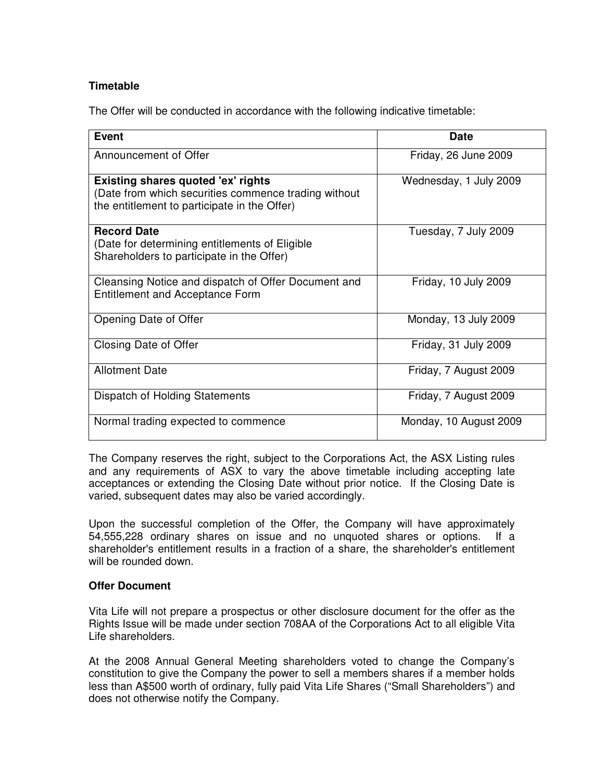## **Timetable**

The Offer will be conducted in accordance with the following indicative timetable:

| Event                                                                                                                                             | Date                   |
|---------------------------------------------------------------------------------------------------------------------------------------------------|------------------------|
| Announcement of Offer                                                                                                                             | Friday, 26 June 2009   |
| <b>Existing shares quoted 'ex' rights</b><br>(Date from which securities commence trading without<br>the entitlement to participate in the Offer) | Wednesday, 1 July 2009 |
| <b>Record Date</b><br>(Date for determining entitlements of Eligible<br>Shareholders to participate in the Offer)                                 | Tuesday, 7 July 2009   |
| Cleansing Notice and dispatch of Offer Document and<br><b>Entitlement and Acceptance Form</b>                                                     | Friday, 10 July 2009   |
| Opening Date of Offer                                                                                                                             | Monday, 13 July 2009   |
| Closing Date of Offer                                                                                                                             | Friday, 31 July 2009   |
| <b>Allotment Date</b>                                                                                                                             | Friday, 7 August 2009  |
| Dispatch of Holding Statements                                                                                                                    | Friday, 7 August 2009  |
| Normal trading expected to commence                                                                                                               | Monday, 10 August 2009 |

The Company reserves the right, subject to the Corporations Act, the ASX Listing rules and any requirements of ASX to vary the above timetable including accepting late acceptances or extending the Closing Date without prior notice. If the Closing Date is varied, subsequent dates may also be varied accordingly.

Upon the successful completion of the Offer, the Company will have approximately 54,555,228 ordinary shares on issue and no unquoted shares or options. If a shareholder's entitlement results in a fraction of a share, the shareholder's entitlement will be rounded down.

## **Offer Document**

Vita Life will not prepare a prospectus or other disclosure document for the offer as the Rights Issue will be made under section 708AA of the Corporations Act to all eligible Vita Life shareholders.

At the 2008 Annual General Meeting shareholders voted to change the Company's constitution to give the Company the power to sell a members shares if a member holds less than A\$500 worth of ordinary, fully paid Vita Life Shares ("Small Shareholders") and does not otherwise notify the Company.